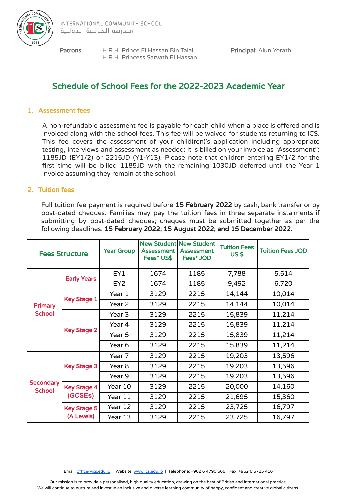

Patrons: H.R.H. Prince El Hassan Bin Talal Principal: Alun Yorath H.R.H. Princess Sarvath El Hassan

# Schedule of School Fees for the 2022-2023 Academic Year

### 1. Assessment fees

A non-refundable assessment fee is payable for each child when a place is offered and is invoiced along with the school fees. This fee will be waived for students returning to ICS. This fee covers the assessment of your child(ren)'s application including appropriate testing, interviews and assessment as needed: It is billed on your invoice as "Assessment": 1185JD (EY1/2) or 2215JD (Y1-Y13). Please note that children entering EY1/2 for the first time will be billed 1185JD with the remaining 1030JD deferred until the Year 1 invoice assuming they remain at the school.

### 2. Tuition fees

Full tuition fee payment is required before 15 February 2022 by cash, bank transfer or by post-dated cheques. Families may pay the tuition fees in three separate instalments if submitting by post-dated cheques; cheques must be submitted together as per the following deadlines: 15 February 2022; 15 August 2022; and 15 December 2022.

| <b>Fees Structure</b>             |                                  | <b>Year Group</b> | <b>Assessment</b><br>Fees* US\$ | <b>New Student New Student</b><br><b>Assessment</b><br>Fees* JOD | <b>Tuition Fees</b><br><b>US\$</b> | <b>Tuition Fees JOD</b> |
|-----------------------------------|----------------------------------|-------------------|---------------------------------|------------------------------------------------------------------|------------------------------------|-------------------------|
| Primary<br><b>School</b>          | <b>Early Years</b>               | EY1               | 1674                            | 1185                                                             | 7,788                              | 5,514                   |
|                                   |                                  | EY <sub>2</sub>   | 1674                            | 1185                                                             | 9,492                              | 6,720                   |
|                                   | <b>Key Stage 1</b>               | Year 1            | 3129                            | 2215                                                             | 14,144                             | 10,014                  |
|                                   |                                  | Year 2            | 3129                            | 2215                                                             | 14,144                             | 10,014                  |
|                                   | <b>Key Stage 2</b>               | Year 3            | 3129                            | 2215                                                             | 15,839                             | 11,214                  |
|                                   |                                  | Year 4            | 3129                            | 2215                                                             | 15,839                             | 11,214                  |
|                                   |                                  | Year 5            | 3129                            | 2215                                                             | 15,839                             | 11,214                  |
|                                   |                                  | Year 6            | 3129                            | 2215                                                             | 15,839                             | 11,214                  |
| <b>Secondary</b><br><b>School</b> | <b>Key Stage 3</b>               | Year 7            | 3129                            | 2215                                                             | 19,203                             | 13,596                  |
|                                   |                                  | Year 8            | 3129                            | 2215                                                             | 19,203                             | 13,596                  |
|                                   |                                  | Year 9            | 3129                            | 2215                                                             | 19,203                             | 13,596                  |
|                                   | <b>Key Stage 4</b><br>(GCSEs)    | Year 10           | 3129                            | 2215                                                             | 20,000                             | 14,160                  |
|                                   |                                  | Year 11           | 3129                            | 2215                                                             | 21,695                             | 15,360                  |
|                                   | <b>Key Stage 5</b><br>(A Levels) | Year 12           | 3129                            | 2215                                                             | 23,725                             | 16,797                  |
|                                   |                                  | Year 13           | 3129                            | 2215                                                             | 23,725                             | 16,797                  |

Email: [office@ics.edu.jo](mailto:office@ics.edu.jo) | Website: [www.ics.edu.jo](http://www.ics.edu.jo) | Telephone: +962 6 4790 666 | Fax: +962 6 5725 416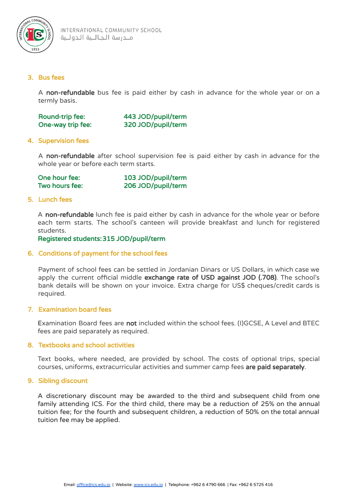

### 3. Bus fees

A non-refundable bus fee is paid either by cash in advance for the whole year or on a termly basis.

| Round-trip fee:   | 443 JOD/pupil/term |
|-------------------|--------------------|
| One-way trip fee: | 320 JOD/pupil/term |

### 4. Supervision fees

A non-refundable after school supervision fee is paid either by cash in advance for the whole year or before each term starts.

| One hour fee:  | 103 JOD/pupil/term |
|----------------|--------------------|
| Two hours fee: | 206 JOD/pupil/term |

#### 5. Lunch fees

A non-refundable lunch fee is paid either by cash in advance for the whole year or before each term starts. The school's canteen will provide breakfast and lunch for registered students.

Registered students:315 JOD/pupil/term

#### 6. Conditions of payment for the school fees

Payment of school fees can be settled in Jordanian Dinars or US Dollars, in which case we apply the current official middle exchange rate of USD against JOD (.708). The school's bank details will be shown on your invoice. Extra charge for US\$ cheques/credit cards is required.

#### 7. Examination board fees

Examination Board fees are not included within the school fees. (I)GCSE, A Level and BTEC fees are paid separately as required.

#### 8. Textbooks and school activities

Text books, where needed, are provided by school. The costs of optional trips, special courses, uniforms, extracurricular activities and summer camp fees are paid separately.

#### 9. Sibling discount

A discretionary discount may be awarded to the third and subsequent child from one family attending ICS. For the third child, there may be a reduction of 25% on the annual tuition fee; for the fourth and subsequent children, a reduction of 50% on the total annual tuition fee may be applied.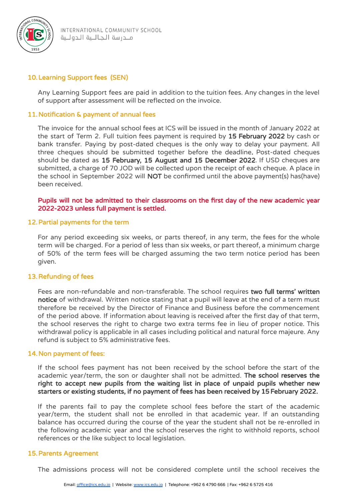

### 10.Learning Support fees (SEN)

Any Learning Support fees are paid in addition to the tuition fees. Any changes in the level of support after assessment will be reflected on the invoice.

### 11.Notification & payment of annual fees

The invoice for the annual school fees at ICS will be issued in the month of January 2022 at the start of Term 2. Full tuition fees payment is required by 15 February 2022 by cash or bank transfer. Paying by post-dated cheques is the only way to delay your payment. All three cheques should be submitted together before the deadline. Post-dated cheques should be dated as 15 February, 15 August and 15 December 2022. If USD cheques are submitted, a charge of 70 JOD will be collected upon the receipt of each cheque. A place in the school in September 2022 will NOT be confirmed until the above payment(s) has(have) been received.

Pupils will not be admitted to their classrooms on the first day of the new academic year 2022-2023 unless full payment is settled.

#### 12.Partial payments for the term

For any period exceeding six weeks, or parts thereof, in any term, the fees for the whole term will be charged. For a period of less than six weeks, or part thereof, a minimum charge of 50% of the term fees will be charged assuming the two term notice period has been given.

#### 13.Refunding of fees

Fees are non-refundable and non-transferable. The school requires two full terms' written notice of withdrawal. Written notice stating that a pupil will leave at the end of a term must therefore be received by the Director of Finance and Business before the commencement of the period above. If information about leaving is received after the first day of that term, the school reserves the right to charge two extra terms fee in lieu of proper notice. This withdrawal policy is applicable in all cases including political and natural force majeure. Any refund is subject to 5% administrative fees.

#### 14.Non payment of fees:

If the school fees payment has not been received by the school before the start of the academic year/term, the son or daughter shall not be admitted. The school reserves the right to accept new pupils from the waiting list in place of unpaid pupils whether new starters or existing students, if no payment of fees has been received by 15February 2022.

If the parents fail to pay the complete school fees before the start of the academic year/term, the student shall not be enrolled in that academic year. If an outstanding balance has occurred during the course of the year the student shall not be re-enrolled in the following academic year and the school reserves the right to withhold reports, school references or the like subject to local legislation.

#### 15.Parents Agreement

The admissions process will not be considered complete until the school receives the